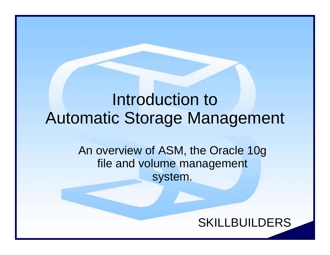#### Introduction to Automatic Storage Management

An overview of ASM, the Oracle 10g file and volume management system.

#### SKILLBUILDERS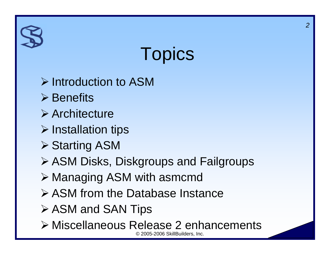### **Topics**

- ¾ Introduction to ASM
- $\triangleright$  Benefits
- ¾ Architecture
- ¾ Installation tips
- **≻ Starting ASM**
- ¾ ASM Disks, Diskgroups and Failgroups
- ¾ Managing ASM with asmcmd
- ¾ ASM from the Database Instance
- **≻ ASM and SAN Tips**
- © 2005-2006 SkillBuilders, Inc. ¾ Miscellaneous Release 2 enhancements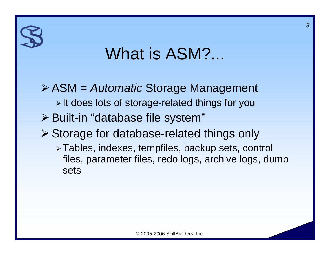#### What is ASM?...

¾ ASM = *Automatic* Storage Management ¾ It does lots of storage-related things for you ¾ Built-in "database file system" ¾ Storage for database-related things only ¾ Tables, indexes, tempfiles, backup sets, control files, parameter files, redo logs, archive logs, dump sets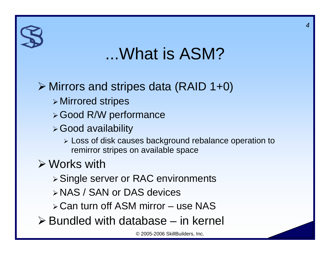#### ...What is ASM?

#### ¾ Mirrors and stripes data (RAID 1+0)

- $\triangleright$  Mirrored stripes
- ¾ Good R/W performance
- ¾ Good availability
	- ¾ Loss of disk causes background rebalance operation to remirror stripes on available space

#### $\triangleright$  Works with

- ¾ Single server or RAC environments
- ¾ NAS / SAN or DAS devices
- ¾ Can turn off ASM mirror use NAS
- $\triangleright$  Bundled with database in kernel

© 2005-2006 SkillBuilders, Inc.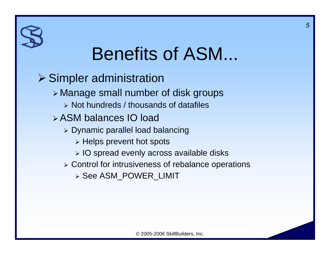### Benefits of ASM...

 $\triangleright$  Simpler administration <sup>¾</sup>Manage small number of disk groups ¾ Not hundreds / thousands of datafiles ¾ ASM balances IO load  $\triangleright$  Dynamic parallel load balancing  $\triangleright$  Helps prevent hot spots ¾ IO spread evenly across available disks ¾ Control for intrusiveness of rebalance operations ¾ See ASM\_POWER\_LIMIT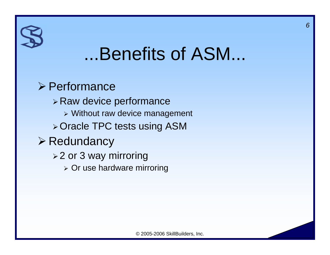#### ...Benefits of ASM...

#### ¾ Performance

¾ Raw device performance ¾ Without raw device management ¾ Oracle TPC tests using ASM ¾ Redundancy **≽2 or 3 way mirroring**  $\triangleright$  Or use hardware mirroring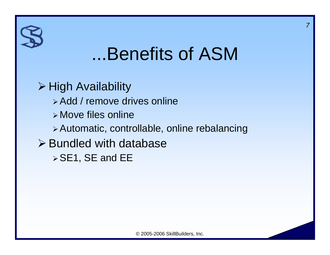#### ...Benefits of ASM

¾ High Availability ¾ Add / remove drives online

- ¾Move files online
- ¾ Automatic, controllable, online rebalancing
- $\triangleright$  Bundled with database  $\triangleright$  SE1, SE and EE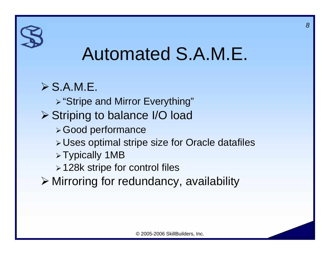#### Automated S.A.M.E.

#### $\triangleright$  S.A.M.E.

- ¾ "Stripe and Mirror Everything"
- ¾ Striping to balance I/O load
	- ¾ Good performance
	- ¾ Uses optimal stripe size for Oracle datafiles
	- ¾ Typically 1MB
	- ¾ 128k stripe for control files
- ¾ Mirroring for redundancy, availability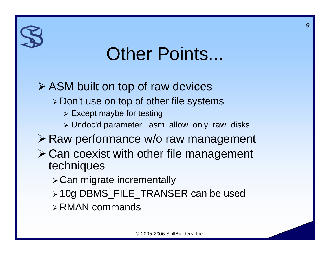### Other Points...

#### ¾ ASM built on top of raw devices

- ¾ Don't use on top of other file systems
	- $\triangleright$  Except maybe for testing
	- ¾ Undoc'd parameter \_asm\_allow\_only\_raw\_disks
- ¾ Raw performance w/o raw management
- ¾ Can coexist with other file management techniques
	- ¾ Can migrate incrementally
	- ¾ 10g DBMS\_FILE\_TRANSER can be used
	- ¾ RMAN commands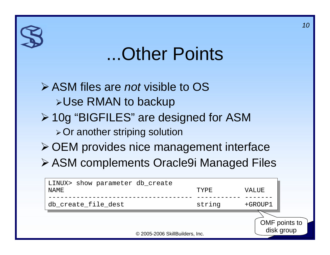#### ...Other Points

*10*

¾ ASM files are *not* visible to OS <sup>¾</sup>Use RMAN to backup ¾ 10g "BIGFILES" are designed for ASM ¾ Or another striping solution ¾ OEM provides nice management interface ¾ ASM complements Oracle9i Managed Files

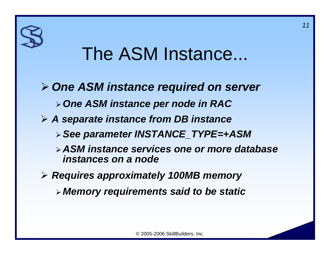#### The ASM Instance...

- ¾ *One ASM instance required on server* ¾ *One ASM instance per node in RAC* ¾ *A separate instance from DB instance* ¾ *See parameter INSTANCE\_TYPE=+ASM* ¾ *ASM instance services one or more database instances on a node*¾ *Requires approximately 100MB memory*
	- ¾*Memory requirements said to be static*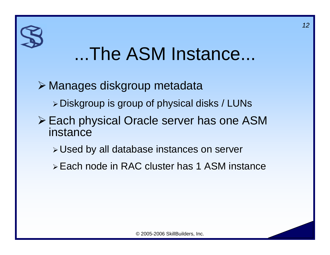### ...The ASM Instance...

- ¾ Manages diskgroup metadata
	- ¾ Diskgroup is group of physical disks / LUNs
- ¾ Each physical Oracle server has one ASM instance
	- ¾ Used by all database instances on server
	- ¾ Each node in RAC cluster has 1 ASM instance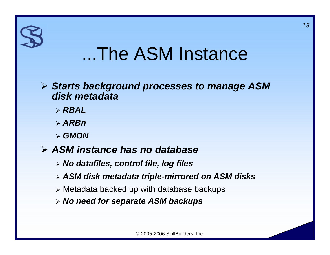#### ...The ASM Instance

#### ¾ *Starts background processes to manage ASM disk metadata*

- ¾ *RBAL*
- ¾ *ARBn*
- ¾ *GMON*
- ¾ *ASM instance has no database*
	- ¾ *No datafiles, control file, log files*
	- ¾ *ASM disk metadata triple-mirrored on ASM disks*
	- ¾ Metadata backed up with database backups
	- ¾ *No need for separate ASM backups*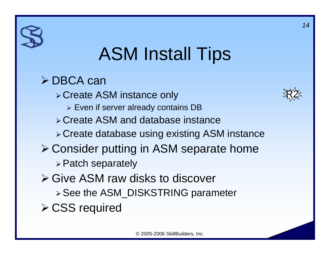### ASM Install Tips

¾ DBCA can ¾ Create ASM instance only  $\triangleright$  Even if server already contains DB ¾ Create ASM and database instance ¾ Create database using existing ASM instance ¾ Consider putting in ASM separate home ¾ Patch separately ¾ Give ASM raw disks to discover ¾ See the ASM\_DISKSTRING parameter **≻ CSS required** 

R2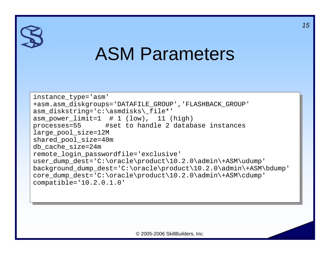#### ASM Parameters

```
instance_type='asm'
instance_type='asm'
+asm.asm_diskgroups='DATAFILE_GROUP','FLASHBACK_GROUP'
+asm.asm_diskgroups='DATAFILE_GROUP','FLASHBACK_GROUP'
asm_diskstring='c:\asmdisks\_file*'
asm_diskstring='c:\asmdisks\_file*'
asm_power_limit=1 # 1 (low), 11 (high)
asm_power_limit=1 # 1 (low), 11 (high)
processes=55 #set to handle 2 database instances
processes=55 #set to handle 2 database instances
large_pool_size=12M
large_pool_size=12M
shared_pool_size=40m
shared_pool_size=40m
db_cache_size=24m
db_cache_size=24m
remote_login_passwordfile='exclusive'
remote_login_passwordfile='exclusive'
user_dump_dest='C:\oracle\product\10.2.0\admin\+ASM\udump'
user_dump_dest='C:\oracle\product\10.2.0\admin\+ASM\udump'
background_dump_dest='C:\oracle\product\10.2.0\admin\+ASM\bdump'
background_dump_dest='C:\oracle\product\10.2.0\admin\+ASM\bdump'
core_dump_dest='C:\oracle\product\10.2.0\admin\+ASM\cdump'
core_dump_dest='C:\oracle\product\10.2.0\admin\+ASM\cdump'
compatible='10.2.0.1.0'
compatible='10.2.0.1.0'
```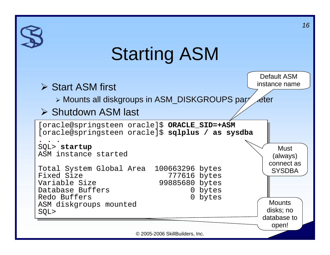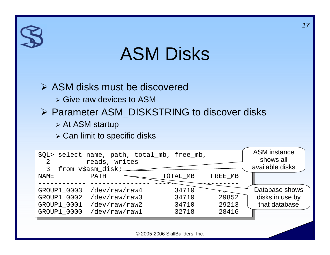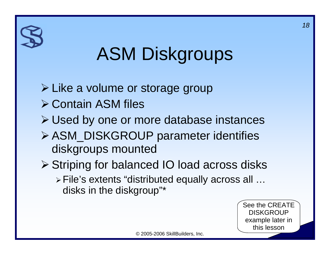# ASM Diskgroups

¾ Like a volume or storage group ¾ Contain ASM files ¾ Used by one or more database instances ¾ ASM\_DISKGROUP parameter identifies diskgroups mounted ¾ Striping for balanced IO load across disks ¾ File's extents "distributed equally across all … disks in the diskgroup"\*

> See the CREATE **DISKGROUP** example later in this lesson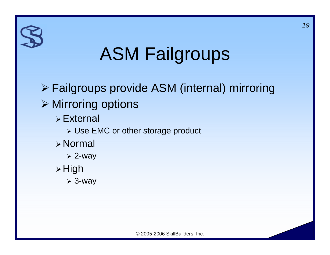# ASM Failgroups

¾ Failgroups provide ASM (internal) mirroring ¾ Mirroring options  $\triangleright$  External ¾ Use EMC or other storage product ¾ Normal ¾ 2-way ¾ High ¾ 3-way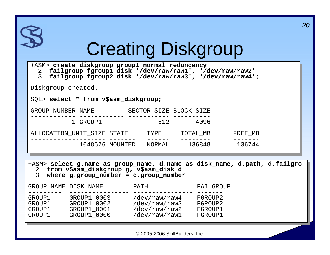|                                                                                                                                                                  |                                                                                                                                                                          | <b>Creating Diskgroup</b>                       |  |                               |  | 20 |
|------------------------------------------------------------------------------------------------------------------------------------------------------------------|--------------------------------------------------------------------------------------------------------------------------------------------------------------------------|-------------------------------------------------|--|-------------------------------|--|----|
| $\mathcal{E}$                                                                                                                                                    | +ASM> create diskgroup group1 normal redundancy<br>2 failgroup fgroup1 disk '/dev/raw/raw1', '/dev/raw/raw2'<br>failgroup fgroup2 disk '/dev/raw/raw3', '/dev/raw/raw4'; |                                                 |  |                               |  |    |
| Diskgroup created.                                                                                                                                               |                                                                                                                                                                          |                                                 |  |                               |  |    |
|                                                                                                                                                                  | SQL> select * from v\$asm_diskgroup;                                                                                                                                     |                                                 |  |                               |  |    |
|                                                                                                                                                                  | GROUP_NUMBER NAME SECTOR_SIZE BLOCK_SIZE                                                                                                                                 |                                                 |  |                               |  |    |
|                                                                                                                                                                  | 1 GROUP1                                                                                                                                                                 | 512 4096                                        |  |                               |  |    |
|                                                                                                                                                                  | ALLOCATION_UNIT_SIZE STATE TYPE TOTAL_MB FREE_MB                                                                                                                         |                                                 |  |                               |  |    |
|                                                                                                                                                                  | 1048576 MOUNTED NORMAL 136848 136744                                                                                                                                     |                                                 |  |                               |  |    |
| +ASM> select g.name as group_name, d.name as disk_name, d.path, d.failgro<br>2 from v\$asm_diskgroup g, v\$asm_disk d<br>3 where g.group_number = d.group_number |                                                                                                                                                                          |                                                 |  |                               |  |    |
|                                                                                                                                                                  | GROUP_NAME DISK_NAME PATH PATH FAILGROUP                                                                                                                                 |                                                 |  |                               |  |    |
| GROUP1<br>GROUP1<br>GROUP1                                                                                                                                       | GROUP1 GROUP1_0003 /dev/raw/raw4 FGROUP2<br>GROUP1_0002<br>GROUP1 0001<br>GROUP1_0000                                                                                    | /dev/raw/raw3<br>/dev/raw/raw2<br>/dev/raw/raw1 |  | FGROUP2<br>FGROUP1<br>FGROUP1 |  |    |
| © 2005-2006 SkillBuilders, Inc.                                                                                                                                  |                                                                                                                                                                          |                                                 |  |                               |  |    |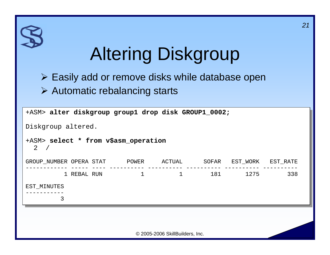# Altering Diskgroup

¾ Easily add or remove disks while database open ¾ Automatic rebalancing starts

| +ASM> alter diskgroup group1 drop disk GROUP1_0002; |          |                                 |       |          |          |  |  |
|-----------------------------------------------------|----------|---------------------------------|-------|----------|----------|--|--|
| Diskgroup altered.                                  |          |                                 |       |          |          |  |  |
| +ASM> select * from v\$asm_operation<br>2 /         |          |                                 |       |          |          |  |  |
| GROUP NUMBER OPERA STAT                             | POWER    | ACTUAL                          | SOFAR | EST_WORK | EST_RATE |  |  |
| 1 REBAL RUN                                         | $\sim$ 1 | $\mathbf{1}$                    | 181   | 1275     | 338      |  |  |
| EST_MINUTES                                         |          |                                 |       |          |          |  |  |
| 3                                                   |          |                                 |       |          |          |  |  |
|                                                     |          |                                 |       |          |          |  |  |
|                                                     |          | © 2005-2006 SkillBuilders, Inc. |       |          |          |  |  |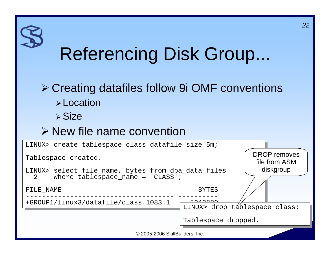# Referencing Disk Group...

*22*

#### ¾ Creating datafiles follow 9i OMF conventions ¾ Location

 $\triangleright$  Size

#### ¾ New file name convention

| LINUX> create tablespace class datafile size 5m;                                                         |                                                                                  |  |  |  |  |
|----------------------------------------------------------------------------------------------------------|----------------------------------------------------------------------------------|--|--|--|--|
| Tablespace created.                                                                                      | <b>DROP</b> removes<br>file from ASM                                             |  |  |  |  |
| LINUX> select file_name, bytes from dba_data_files<br>where $tablespace_name = 'CLASS'$ ;<br>$2^{\circ}$ | diskgroup                                                                        |  |  |  |  |
| FILE NAME                                                                                                | <b>BYTES</b>                                                                     |  |  |  |  |
| +GROUP1/linux3/datafile/class.1083.1                                                                     | $\Gamma$ $\cap$ $\wedge$ $\cap$ $\cap$ $\wedge$<br>LINUX> drop táblespace class; |  |  |  |  |
|                                                                                                          | Tablespace dropped.                                                              |  |  |  |  |
| © 2005-2006 SkillBuilders, Inc.                                                                          |                                                                                  |  |  |  |  |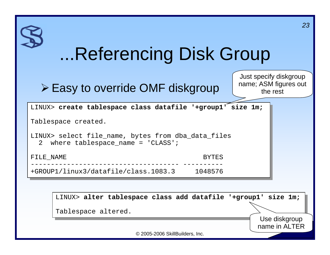|                                 | Referencing Disk Group                                                                   | 23                                                          |  |  |  |
|---------------------------------|------------------------------------------------------------------------------------------|-------------------------------------------------------------|--|--|--|
|                                 | $\triangleright$ Easy to override OMF diskgroup                                          | Just specify diskgroup<br>name; ASM figures out<br>the rest |  |  |  |
|                                 | LINUX> create tablespace class datafile '+group1' size 1m;                               |                                                             |  |  |  |
|                                 | Tablespace created.                                                                      |                                                             |  |  |  |
|                                 | LINUX> select file_name, bytes from dba_data_files<br>2 where tablespace_name = 'CLASS'; |                                                             |  |  |  |
|                                 | FILE NAME<br><b>BYTES</b>                                                                |                                                             |  |  |  |
|                                 | +GROUP1/linux3/datafile/class.1083.3<br>1048576                                          |                                                             |  |  |  |
|                                 |                                                                                          |                                                             |  |  |  |
|                                 | LINUX> alter tablespace class add datafile '+group1' size 1m;                            |                                                             |  |  |  |
|                                 | Tablespace altered.                                                                      |                                                             |  |  |  |
|                                 |                                                                                          | Use diskgroup<br>name in ALTER                              |  |  |  |
| © 2005-2006 SkillBuilders, Inc. |                                                                                          |                                                             |  |  |  |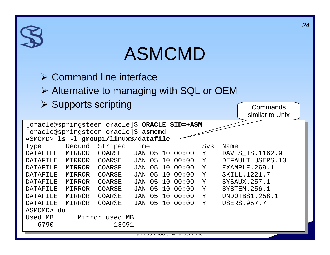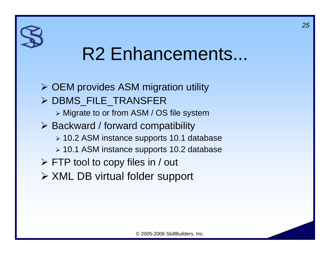### R2 Enhancements...

¾ OEM provides ASM migration utility ¾ DBMS\_FILE\_TRANSFER ¾ Migrate to or from ASM / OS file system ¾ Backward / forward compatibility ¾ 10.2 ASM instance supports 10.1 database ¾ 10.1 ASM instance supports 10.2 database  $\triangleright$  FTP tool to copy files in / out ¾ XML DB virtual folder support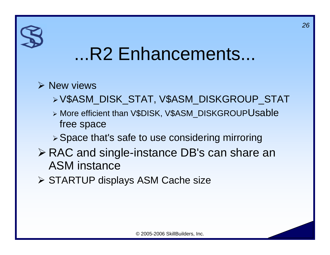#### ...R2 Enhancements...

#### $\triangleright$  New views

- ¾ V\$ASM\_DISK\_STAT, V\$ASM\_DISKGROUP\_STAT
- ¾ More efficient than V\$DISK, V\$ASM\_DISKGROUPUsable free space
- ¾ Space that's safe to use considering mirroring
- ¾ RAC and single-instance DB's can share an ASM instance
- ¾ STARTUP displays ASM Cache size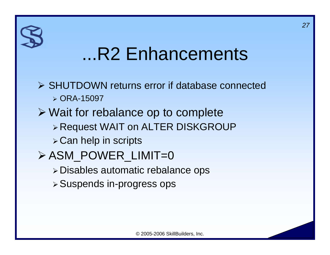#### ...R2 Enhancements

- ¾ SHUTDOWN returns error if database connected ¾ ORA-15097
- ¾ Wait for rebalance op to complete ¾ Request WAIT on ALTER DISKGROUP
	- ¾ Can help in scripts
- ¾ ASM\_POWER\_LIMIT=0
	- ¾ Disables automatic rebalance ops
	- ¾ Suspends in-progress ops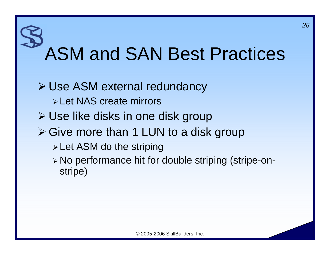# ASM and SAN Best Practices

- ¾ Use ASM external redundancy ¾ Let NAS create mirrors ¾ Use like disks in one disk group ¾ Give more than 1 LUN to a disk group ¾ Let ASM do the striping
	- ¾ No performance hit for double striping (stripe-onstripe)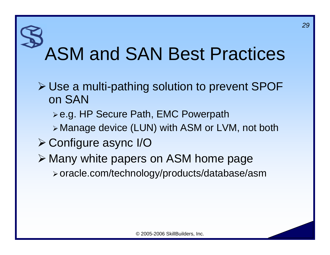# ASM and SAN Best Practices

- ¾ Use a multi-pathing solution to prevent SPOF on SAN
	- ¾ e.g. HP Secure Path, EMC Powerpath
	- <sup>¾</sup>Manage device (LUN) with ASM or LVM, not both
- ¾ Configure async I/O
- ¾ Many white papers on ASM home page ¾ oracle.com/technology/products/database/asm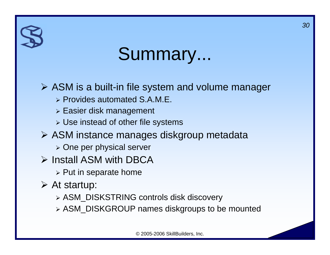### Summary...

#### ¾ ASM is a built-in file system and volume manager

- ¾ Provides automated S.A.M.E.
- ¾ Easier disk management
- ¾ Use instead of other file systems
- ¾ ASM instance manages diskgroup metadata
	- ¾ One per physical server
- ¾ Install ASM with DBCA
	- $\triangleright$  Put in separate home
- $\triangleright$  At startup:
	- ¾ ASM\_DISKSTRING controls disk discovery
	- ¾ ASM\_DISKGROUP names diskgroups to be mounted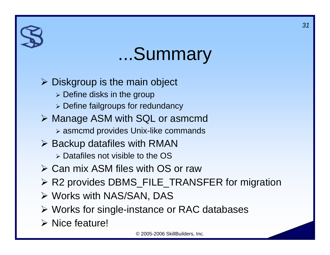#### ...Summary

 $\triangleright$  Diskgroup is the main object

- $\triangleright$  Define disks in the group
- ¾ Define failgroups for redundancy
- ¾ Manage ASM with SQL or asmcmd
	- ¾ asmcmd provides Unix-like commands
- $\triangleright$  Backup datafiles with RMAN
	- ¾ Datafiles not visible to the OS
- ¾ Can mix ASM files with OS or raw
- ¾ R2 provides DBMS\_FILE\_TRANSFER for migration
- ¾ Works with NAS/SAN, DAS
- ¾ Works for single-instance or RAC databases
- $\triangleright$  Nice feature!

© 2005-2006 SkillBuilders, Inc.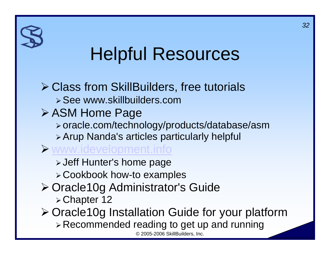### Helpful Resources

#### © 2005-2006 SkillBuilders, Inc. ¾ Class from SkillBuilders, free tutorials ¾ See www.skillbuilders.com¾ ASM Home Page ¾ oracle.com/technology/products/database/asm ¾ Arup Nanda's articles particularly helpful ¾ www.idevelopment.info ¾ Jeff Hunter's home page ¾ Cookbook how-to examples ¾ Oracle10g Administrator's Guide ¾ Chapter 12 ¾ Oracle10g Installation Guide for your platform ¾ Recommended reading to get up and running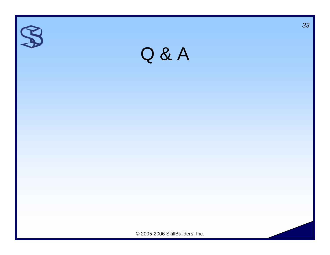